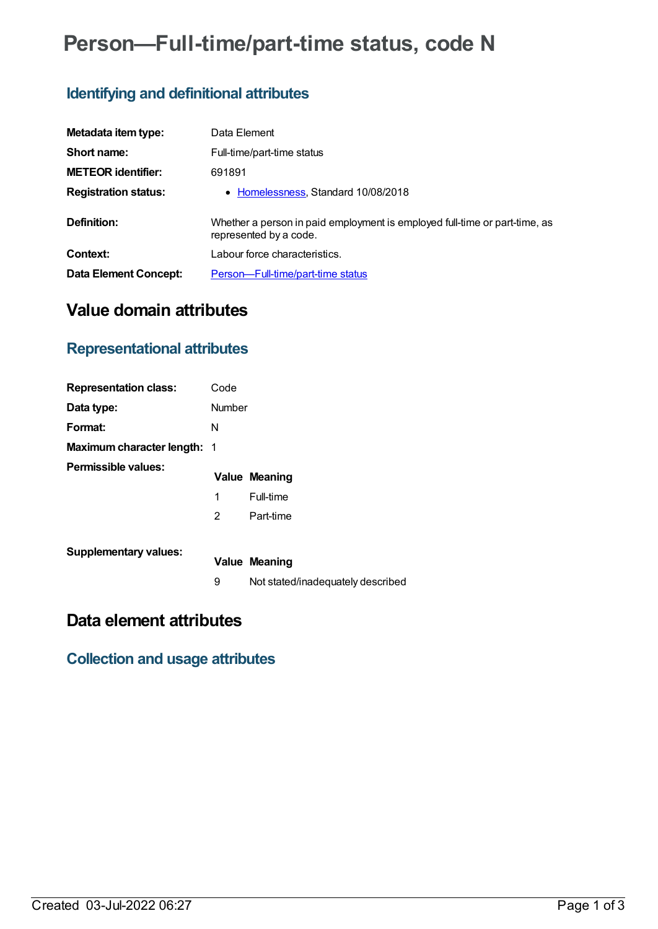# **Person—Full-time/part-time status, code N**

# **Identifying and definitional attributes**

| Metadata item type:          | Data Element                                                                                         |
|------------------------------|------------------------------------------------------------------------------------------------------|
| Short name:                  | Full-time/part-time status                                                                           |
| <b>METEOR identifier:</b>    | 691891                                                                                               |
| <b>Registration status:</b>  | • Homelessness, Standard 10/08/2018                                                                  |
| Definition:                  | Whether a person in paid employment is employed full-time or part-time, as<br>represented by a code. |
| Context:                     | Labour force characteristics.                                                                        |
| <b>Data Element Concept:</b> | Person-Full-time/part-time status                                                                    |

# **Value domain attributes**

# **Representational attributes**

| <b>Representation class:</b>       | Code   |                                   |
|------------------------------------|--------|-----------------------------------|
| Data type:                         | Number |                                   |
| Format:                            | N      |                                   |
| <b>Maximum character length: 1</b> |        |                                   |
| <b>Permissible values:</b>         |        | <b>Value Meaning</b>              |
|                                    | 1      | Full-time                         |
|                                    | 2      | Part-time                         |
| <b>Supplementary values:</b>       |        | <b>Value Meaning</b>              |
|                                    | 9      | Not stated/inadequately described |

# **Data element attributes**

#### **Collection and usage attributes**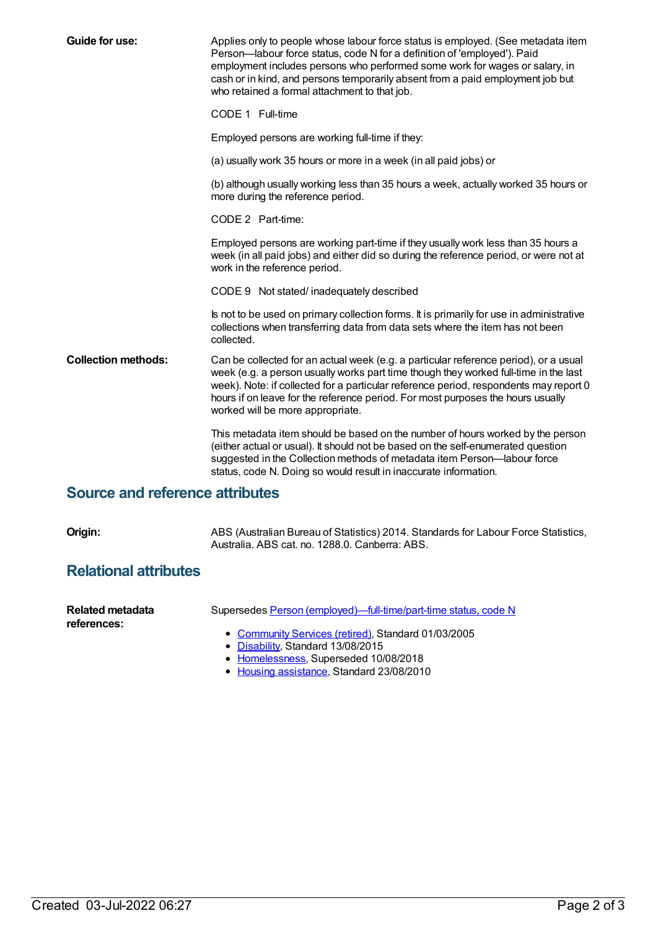| <b>Guide for use:</b>      | Applies only to people whose labour force status is employed. (See metadata item<br>Person-labour force status, code N for a definition of 'employed'). Paid<br>employment includes persons who performed some work for wages or salary, in<br>cash or in kind, and persons temporarily absent from a paid employment job but<br>who retained a formal attachment to that job.               |
|----------------------------|----------------------------------------------------------------------------------------------------------------------------------------------------------------------------------------------------------------------------------------------------------------------------------------------------------------------------------------------------------------------------------------------|
|                            | CODE 1 Full-time                                                                                                                                                                                                                                                                                                                                                                             |
|                            | Employed persons are working full-time if they:                                                                                                                                                                                                                                                                                                                                              |
|                            | (a) usually work 35 hours or more in a week (in all paid jobs) or                                                                                                                                                                                                                                                                                                                            |
|                            | (b) although usually working less than 35 hours a week, actually worked 35 hours or<br>more during the reference period.                                                                                                                                                                                                                                                                     |
|                            | CODE 2 Part-time:                                                                                                                                                                                                                                                                                                                                                                            |
|                            | Employed persons are working part-time if they usually work less than 35 hours a<br>week (in all paid jobs) and either did so during the reference period, or were not at<br>work in the reference period.                                                                                                                                                                                   |
|                            | CODE 9 Not stated/inadequately described                                                                                                                                                                                                                                                                                                                                                     |
|                            | Is not to be used on primary collection forms. It is primarily for use in administrative<br>collections when transferring data from data sets where the item has not been<br>collected.                                                                                                                                                                                                      |
| <b>Collection methods:</b> | Can be collected for an actual week (e.g. a particular reference period), or a usual<br>week (e.g. a person usually works part time though they worked full-time in the last<br>week). Note: if collected for a particular reference period, respondents may report 0<br>hours if on leave for the reference period. For most purposes the hours usually<br>worked will be more appropriate. |
|                            | This metadata item should be based on the number of hours worked by the person<br>(either actual or usual). It should not be based on the self-enumerated question<br>suggested in the Collection methods of metadata item Person-labour force<br>status, code N. Doing so would result in inaccurate information.                                                                           |

### **Source and reference attributes**

**Origin:** ABS (Australian Bureau of Statistics) 2014. Standards for Labour Force Statistics, Australia. ABS cat. no. 1288.0. Canberra: ABS.

### **Relational attributes**

| Related metadata | Supersedes Person (employed)—full-time/part-time status, code N |
|------------------|-----------------------------------------------------------------|
| references:      | • Community Services (retired), Standard 01/03/2005             |

- [Disability](https://meteor.aihw.gov.au/RegistrationAuthority/16), Standard 13/08/2015
- [Homelessness](https://meteor.aihw.gov.au/RegistrationAuthority/14), Superseded 10/08/2018
- Housing [assistance](https://meteor.aihw.gov.au/RegistrationAuthority/11), Standard 23/08/2010